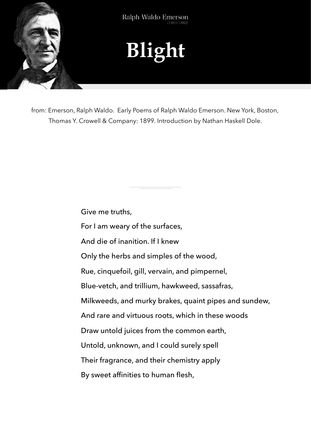

from: Emerson, Ralph Waldo. Early Poems of Ralph Waldo Emerson. New York, Boston, Thomas Y. Crowell & Company: 1899. Introduction by Nathan Haskell Dole.

Give me truths,

For I am weary of the surfaces,

And die of inanition. If I knew

Only the herbs and simples of the wood,

Rue, cinquefoil, gill, vervain, and pimpernel,

Blue-vetch, and trillium, hawkweed, sassafras,

Milkweeds, and murky brakes, quaint pipes and sundew,

And rare and virtuous roots, which in these woods

Draw untold juices from the common earth,

Untold, unknown, and I could surely spell

Their fragrance, and their chemistry apply

By sweet affinities to human flesh,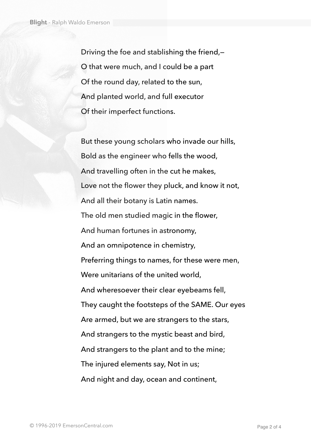Driving the foe and stablishing the friend,— O that were much, and I could be a part Of the round day, related to the sun, And planted world, and full executor Of their imperfect functions.

But these young scholars who invade our hills, Bold as the engineer who fells the wood, And travelling often in the cut he makes, Love not the flower they pluck, and know it not, And all their botany is Latin names. The old men studied magic in the flower, And human fortunes in astronomy, And an omnipotence in chemistry, Preferring things to names, for these were men, Were unitarians of the united world, And wheresoever their clear eyebeams fell, They caught the footsteps of the SAME. Our eyes Are armed, but we are strangers to the stars, And strangers to the mystic beast and bird, And strangers to the plant and to the mine; The injured elements say, Not in us; And night and day, ocean and continent,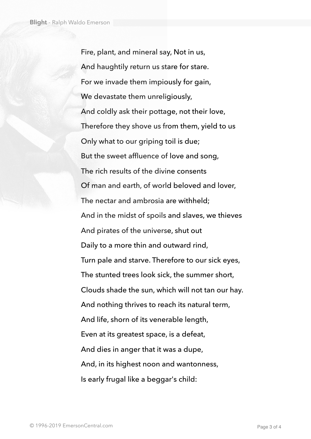Fire, plant, and mineral say, Not in us, And haughtily return us stare for stare. For we invade them impiously for gain, We devastate them unreligiously, And coldly ask their pottage, not their love, Therefore they shove us from them, yield to us Only what to our griping toil is due; But the sweet affluence of love and song, The rich results of the divine consents Of man and earth, of world beloved and lover, The nectar and ambrosia are withheld; And in the midst of spoils and slaves, we thieves And pirates of the universe, shut out Daily to a more thin and outward rind, Turn pale and starve. Therefore to our sick eyes, The stunted trees look sick, the summer short, Clouds shade the sun, which will not tan our hay. And nothing thrives to reach its natural term, And life, shorn of its venerable length, Even at its greatest space, is a defeat, And dies in anger that it was a dupe, And, in its highest noon and wantonness, Is early frugal like a beggar's child: